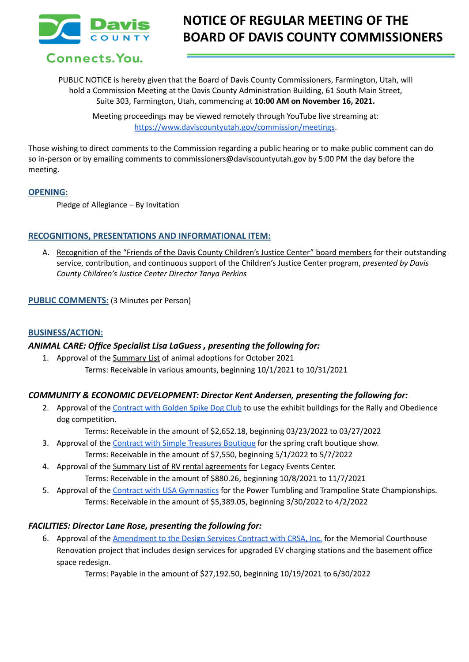

# **NOTICE OF REGULAR MEETING OF THE BOARD OF DAVIS COUNTY COMMISSIONERS**

Connects. You.

PUBLIC NOTICE is hereby given that the Board of Davis County Commissioners, Farmington, Utah, will hold a Commission Meeting at the Davis County Administration Building, 61 South Main Street, Suite 303, Farmington, Utah, commencing at **10:00 AM on November 16, 2021.**

Meeting proceedings may be viewed remotely through YouTube live streaming at: [https://www.daviscountyutah.gov/commission/meetings.](https://www.daviscountyutah.gov/commission/meetings)

Those wishing to direct comments to the Commission regarding a public hearing or to make public comment can do so in-person or by emailing comments to commissioners@daviscountyutah.gov by 5:00 PM the day before the meeting.

#### **OPENING:**

Pledge of Allegiance – By Invitation

#### **RECOGNITIONS, PRESENTATIONS AND INFORMATIONAL ITEM:**

A. Recognition of the "Friends of the Davis County Children's Justice Center" board members for their outstanding service, contribution, and continuous support of the Children's Justice Center program, *presented by Davis County Children's Justice Center Director Tanya Perkins*

#### **PUBLIC COMMENTS:** (3 Minutes per Person)

#### **BUSINESS/ACTION:**

#### *ANIMAL CARE: Office Specialist Lisa LaGuess , presenting the following for:*

1. Approval of the Summary List of animal adoptions for October 2021 Terms: Receivable in various amounts, beginning 10/1/2021 to 10/31/2021

#### *COMMUNITY & ECONOMIC DEVELOPMENT: Director Kent Andersen, presenting the following for:*

2. Approval of the [Contract](https://drive.google.com/file/d/1gzopzsVjFFu_KEDWssMT2u0FGEJyNHES/view?usp=sharing) with Golden Spike Dog Club to use the exhibit buildings for the Rally and Obedience dog competition.

Terms: Receivable in the amount of \$2,652.18, beginning 03/23/2022 to 03/27/2022

- 3. Approval of the Contract with Simple [Treasures](https://drive.google.com/file/d/1QMiRpJDXR830vAChdqb01uPVsGdiIR8M/view?usp=sharing) Boutique for the spring craft boutique show. Terms: Receivable in the amount of \$7,550, beginning 5/1/2022 to 5/7/2022
- 4. Approval of the Summary List of RV rental agreements for Legacy Events Center. Terms: Receivable in the amount of \$880.26, beginning 10/8/2021 to 11/7/2021
- 5. Approval of the Contract with USA [Gymnastics](https://drive.google.com/file/d/1-UrnaQDuVnO_hZKyqcGtNUkqOWpQccsO/view?usp=sharing) for the Power Tumbling and Trampoline State Championships. Terms: Receivable in the amount of \$5,389.05, beginning 3/30/2022 to 4/2/2022

#### *FACILITIES: Director Lane Rose, presenting the following for:*

6. Approval of the [Amendment](https://drive.google.com/file/d/1jUbmvpJD8b1-p7IY0_vw4rkY8iQo6I4d/view?usp=sharing) to the Design Services Contract with CRSA, Inc. for the Memorial Courthouse Renovation project that includes design services for upgraded EV charging stations and the basement office space redesign.

Terms: Payable in the amount of \$27,192.50, beginning 10/19/2021 to 6/30/2022